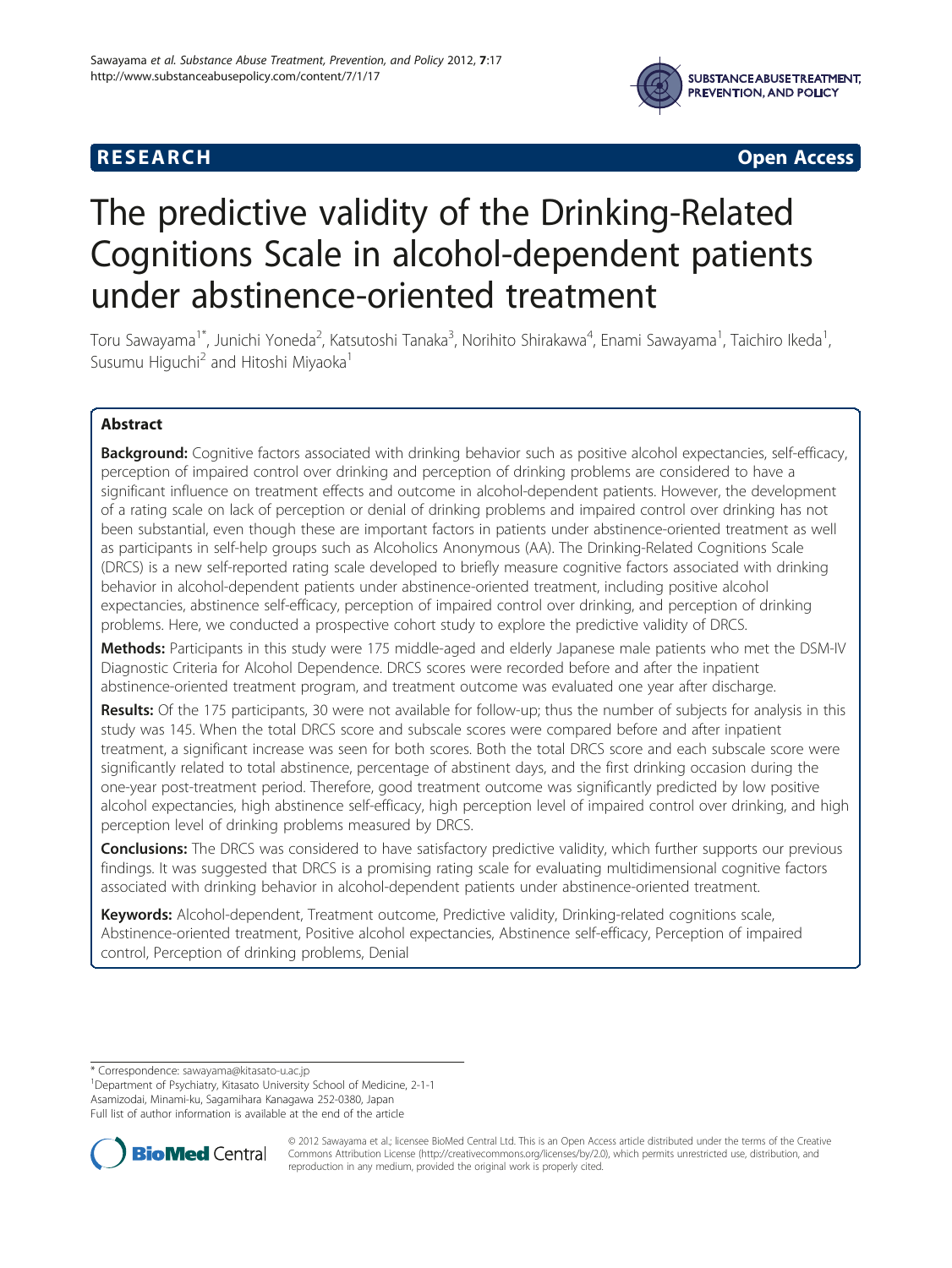## **RESEARCH CONSTRUCTED ACCESS**



# The predictive validity of the Drinking-Related Cognitions Scale in alcohol-dependent patients under abstinence-oriented treatment

Toru Sawayama<sup>1\*</sup>, Junichi Yoneda<sup>2</sup>, Katsutoshi Tanaka<sup>3</sup>, Norihito Shirakawa<sup>4</sup>, Enami Sawayama<sup>1</sup>, Taichiro Ikeda<sup>1</sup> , Susumu Higuchi<sup>2</sup> and Hitoshi Miyaoka<sup>1</sup>

## Abstract

Background: Cognitive factors associated with drinking behavior such as positive alcohol expectancies, self-efficacy, perception of impaired control over drinking and perception of drinking problems are considered to have a significant influence on treatment effects and outcome in alcohol-dependent patients. However, the development of a rating scale on lack of perception or denial of drinking problems and impaired control over drinking has not been substantial, even though these are important factors in patients under abstinence-oriented treatment as well as participants in self-help groups such as Alcoholics Anonymous (AA). The Drinking-Related Cognitions Scale (DRCS) is a new self-reported rating scale developed to briefly measure cognitive factors associated with drinking behavior in alcohol-dependent patients under abstinence-oriented treatment, including positive alcohol expectancies, abstinence self-efficacy, perception of impaired control over drinking, and perception of drinking problems. Here, we conducted a prospective cohort study to explore the predictive validity of DRCS.

Methods: Participants in this study were 175 middle-aged and elderly Japanese male patients who met the DSM-IV Diagnostic Criteria for Alcohol Dependence. DRCS scores were recorded before and after the inpatient abstinence-oriented treatment program, and treatment outcome was evaluated one year after discharge.

Results: Of the 175 participants, 30 were not available for follow-up; thus the number of subjects for analysis in this study was 145. When the total DRCS score and subscale scores were compared before and after inpatient treatment, a significant increase was seen for both scores. Both the total DRCS score and each subscale score were significantly related to total abstinence, percentage of abstinent days, and the first drinking occasion during the one-year post-treatment period. Therefore, good treatment outcome was significantly predicted by low positive alcohol expectancies, high abstinence self-efficacy, high perception level of impaired control over drinking, and high perception level of drinking problems measured by DRCS.

**Conclusions:** The DRCS was considered to have satisfactory predictive validity, which further supports our previous findings. It was suggested that DRCS is a promising rating scale for evaluating multidimensional cognitive factors associated with drinking behavior in alcohol-dependent patients under abstinence-oriented treatment.

Keywords: Alcohol-dependent, Treatment outcome, Predictive validity, Drinking-related cognitions scale, Abstinence-oriented treatment, Positive alcohol expectancies, Abstinence self-efficacy, Perception of impaired control, Perception of drinking problems, Denial

\* Correspondence: [sawayama@kitasato-u.ac.jp](mailto:sawayama@kitasato-u.ac.jp) <sup>1</sup>

<sup>1</sup>Department of Psychiatry, Kitasato University School of Medicine, 2-1-1 Asamizodai, Minami-ku, Sagamihara Kanagawa 252-0380, Japan Full list of author information is available at the end of the article



© 2012 Sawayama et al.; licensee BioMed Central Ltd. This is an Open Access article distributed under the terms of the Creative Commons Attribution License (http://creativecommons.org/licenses/by/2.0), which permits unrestricted use, distribution, and reproduction in any medium, provided the original work is properly cited.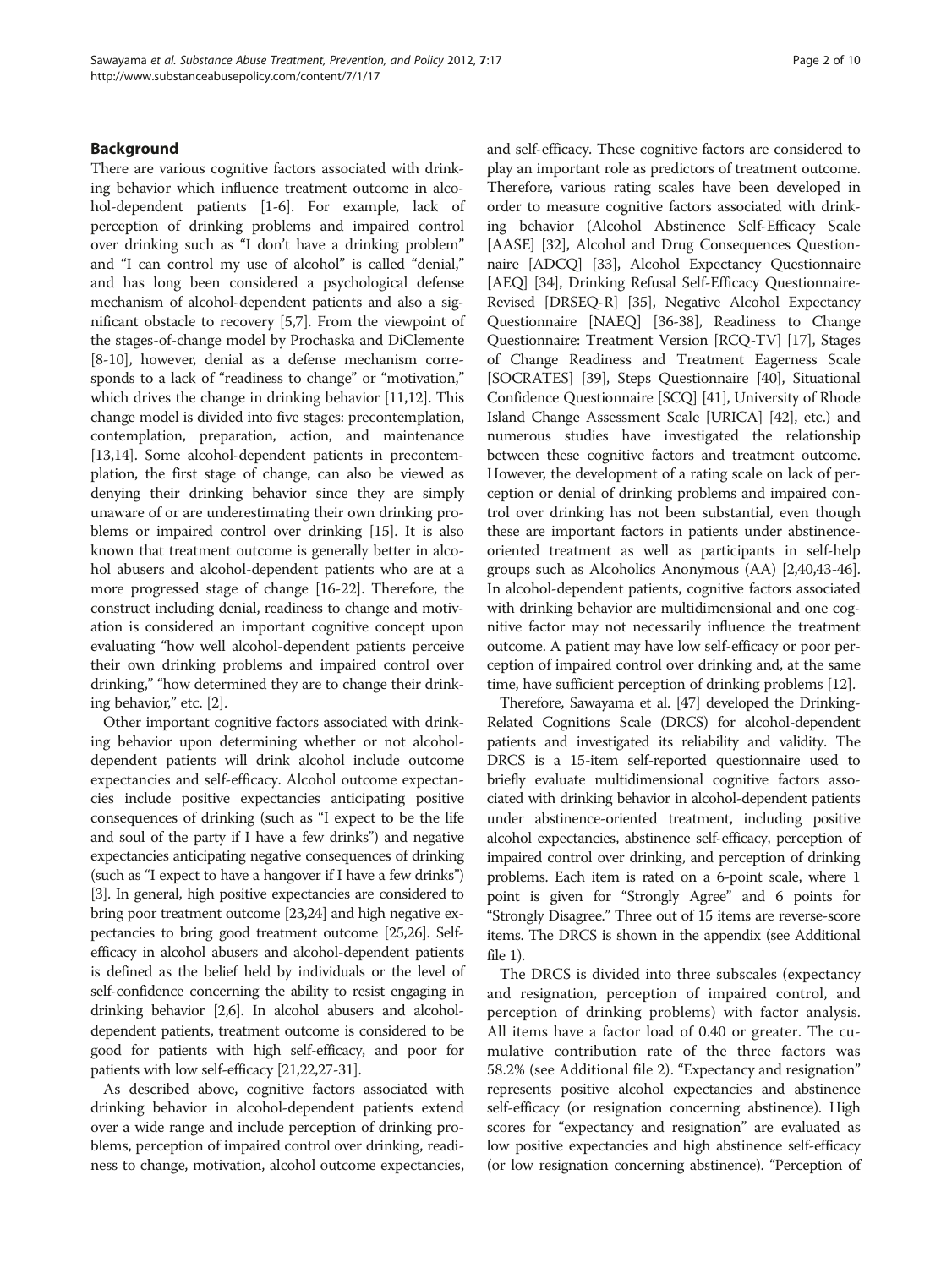## Background

There are various cognitive factors associated with drinking behavior which influence treatment outcome in alcohol-dependent patients [\[1-6\]](#page-8-0). For example, lack of perception of drinking problems and impaired control over drinking such as "I don't have a drinking problem" and "I can control my use of alcohol" is called "denial," and has long been considered a psychological defense mechanism of alcohol-dependent patients and also a significant obstacle to recovery [\[5,7\]](#page-8-0). From the viewpoint of the stages-of-change model by Prochaska and DiClemente [[8-10\]](#page-8-0), however, denial as a defense mechanism corresponds to a lack of "readiness to change" or "motivation," which drives the change in drinking behavior [[11,12\]](#page-8-0). This change model is divided into five stages: precontemplation, contemplation, preparation, action, and maintenance [[13,14\]](#page-8-0). Some alcohol-dependent patients in precontemplation, the first stage of change, can also be viewed as denying their drinking behavior since they are simply unaware of or are underestimating their own drinking problems or impaired control over drinking [\[15\]](#page-8-0). It is also known that treatment outcome is generally better in alcohol abusers and alcohol-dependent patients who are at a more progressed stage of change [\[16-22\]](#page-8-0). Therefore, the construct including denial, readiness to change and motivation is considered an important cognitive concept upon evaluating "how well alcohol-dependent patients perceive their own drinking problems and impaired control over drinking," "how determined they are to change their drinking behavior," etc. [\[2](#page-8-0)].

Other important cognitive factors associated with drinking behavior upon determining whether or not alcoholdependent patients will drink alcohol include outcome expectancies and self-efficacy. Alcohol outcome expectancies include positive expectancies anticipating positive consequences of drinking (such as "I expect to be the life and soul of the party if I have a few drinks") and negative expectancies anticipating negative consequences of drinking (such as "I expect to have a hangover if I have a few drinks") [[3](#page-8-0)]. In general, high positive expectancies are considered to bring poor treatment outcome [\[23,24\]](#page-8-0) and high negative expectancies to bring good treatment outcome [\[25,26](#page-8-0)]. Selfefficacy in alcohol abusers and alcohol-dependent patients is defined as the belief held by individuals or the level of self-confidence concerning the ability to resist engaging in drinking behavior [\[2,6\]](#page-8-0). In alcohol abusers and alcoholdependent patients, treatment outcome is considered to be good for patients with high self-efficacy, and poor for patients with low self-efficacy [\[21,22,27](#page-8-0)-[31](#page-8-0)].

As described above, cognitive factors associated with drinking behavior in alcohol-dependent patients extend over a wide range and include perception of drinking problems, perception of impaired control over drinking, readiness to change, motivation, alcohol outcome expectancies, and self-efficacy. These cognitive factors are considered to play an important role as predictors of treatment outcome. Therefore, various rating scales have been developed in order to measure cognitive factors associated with drinking behavior (Alcohol Abstinence Self-Efficacy Scale [AASE] [[32](#page-8-0)], Alcohol and Drug Consequences Questionnaire [ADCQ] [[33](#page-8-0)], Alcohol Expectancy Questionnaire [AEQ] [\[34\]](#page-8-0), Drinking Refusal Self-Efficacy Questionnaire-Revised [DRSEQ-R] [[35](#page-8-0)], Negative Alcohol Expectancy Questionnaire [NAEQ] [[36](#page-8-0)-[38](#page-8-0)], Readiness to Change Questionnaire: Treatment Version [RCQ-TV] [[17](#page-8-0)], Stages of Change Readiness and Treatment Eagerness Scale [SOCRATES] [[39](#page-8-0)], Steps Questionnaire [[40](#page-8-0)], Situational Confidence Questionnaire [SCQ] [\[41\]](#page-8-0), University of Rhode Island Change Assessment Scale [URICA] [\[42\]](#page-8-0), etc.) and numerous studies have investigated the relationship between these cognitive factors and treatment outcome. However, the development of a rating scale on lack of perception or denial of drinking problems and impaired control over drinking has not been substantial, even though these are important factors in patients under abstinenceoriented treatment as well as participants in self-help groups such as Alcoholics Anonymous (AA) [\[2,40,43-46](#page-8-0)]. In alcohol-dependent patients, cognitive factors associated with drinking behavior are multidimensional and one cognitive factor may not necessarily influence the treatment outcome. A patient may have low self-efficacy or poor perception of impaired control over drinking and, at the same time, have sufficient perception of drinking problems [[12](#page-8-0)].

Therefore, Sawayama et al. [\[47](#page-8-0)] developed the Drinking-Related Cognitions Scale (DRCS) for alcohol-dependent patients and investigated its reliability and validity. The DRCS is a 15-item self-reported questionnaire used to briefly evaluate multidimensional cognitive factors associated with drinking behavior in alcohol-dependent patients under abstinence-oriented treatment, including positive alcohol expectancies, abstinence self-efficacy, perception of impaired control over drinking, and perception of drinking problems. Each item is rated on a 6-point scale, where 1 point is given for "Strongly Agree" and 6 points for "Strongly Disagree." Three out of 15 items are reverse-score items. The DRCS is shown in the appendix (see [Additional](#page-7-0) [file 1\)](#page-7-0).

The DRCS is divided into three subscales (expectancy and resignation, perception of impaired control, and perception of drinking problems) with factor analysis. All items have a factor load of 0.40 or greater. The cumulative contribution rate of the three factors was 58.2% (see [Additional file 2](#page-7-0)). "Expectancy and resignation" represents positive alcohol expectancies and abstinence self-efficacy (or resignation concerning abstinence). High scores for "expectancy and resignation" are evaluated as low positive expectancies and high abstinence self-efficacy (or low resignation concerning abstinence). "Perception of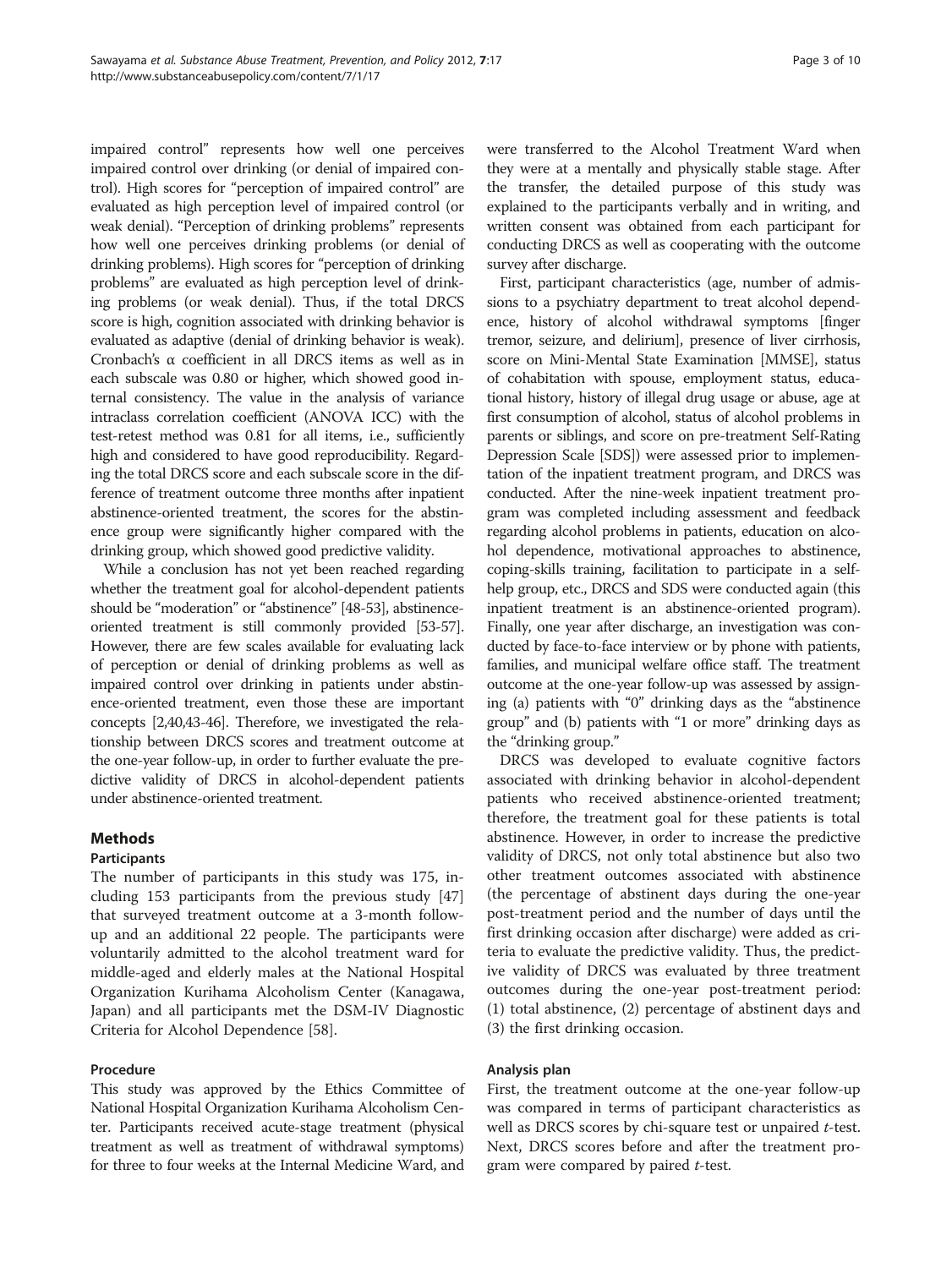impaired control" represents how well one perceives

impaired control over drinking (or denial of impaired control). High scores for "perception of impaired control" are evaluated as high perception level of impaired control (or weak denial). "Perception of drinking problems" represents how well one perceives drinking problems (or denial of drinking problems). High scores for "perception of drinking problems" are evaluated as high perception level of drinking problems (or weak denial). Thus, if the total DRCS score is high, cognition associated with drinking behavior is evaluated as adaptive (denial of drinking behavior is weak). Cronbach's α coefficient in all DRCS items as well as in each subscale was 0.80 or higher, which showed good internal consistency. The value in the analysis of variance intraclass correlation coefficient (ANOVA ICC) with the test-retest method was 0.81 for all items, i.e., sufficiently high and considered to have good reproducibility. Regarding the total DRCS score and each subscale score in the difference of treatment outcome three months after inpatient abstinence-oriented treatment, the scores for the abstinence group were significantly higher compared with the drinking group, which showed good predictive validity.

While a conclusion has not yet been reached regarding whether the treatment goal for alcohol-dependent patients should be "moderation" or "abstinence" [\[48-53](#page-9-0)], abstinenceoriented treatment is still commonly provided [\[53-57](#page-9-0)]. However, there are few scales available for evaluating lack of perception or denial of drinking problems as well as impaired control over drinking in patients under abstinence-oriented treatment, even those these are important concepts [\[2,40,43](#page-8-0)-[46](#page-8-0)]. Therefore, we investigated the relationship between DRCS scores and treatment outcome at the one-year follow-up, in order to further evaluate the predictive validity of DRCS in alcohol-dependent patients under abstinence-oriented treatment.

## Methods

## **Participants**

The number of participants in this study was 175, including 153 participants from the previous study [[47](#page-8-0)] that surveyed treatment outcome at a 3-month followup and an additional 22 people. The participants were voluntarily admitted to the alcohol treatment ward for middle-aged and elderly males at the National Hospital Organization Kurihama Alcoholism Center (Kanagawa, Japan) and all participants met the DSM-IV Diagnostic Criteria for Alcohol Dependence [\[58\]](#page-9-0).

## Procedure

This study was approved by the Ethics Committee of National Hospital Organization Kurihama Alcoholism Center. Participants received acute-stage treatment (physical treatment as well as treatment of withdrawal symptoms) for three to four weeks at the Internal Medicine Ward, and

were transferred to the Alcohol Treatment Ward when they were at a mentally and physically stable stage. After the transfer, the detailed purpose of this study was explained to the participants verbally and in writing, and written consent was obtained from each participant for conducting DRCS as well as cooperating with the outcome survey after discharge.

First, participant characteristics (age, number of admissions to a psychiatry department to treat alcohol dependence, history of alcohol withdrawal symptoms [finger tremor, seizure, and delirium], presence of liver cirrhosis, score on Mini-Mental State Examination [MMSE], status of cohabitation with spouse, employment status, educational history, history of illegal drug usage or abuse, age at first consumption of alcohol, status of alcohol problems in parents or siblings, and score on pre-treatment Self-Rating Depression Scale [SDS]) were assessed prior to implementation of the inpatient treatment program, and DRCS was conducted. After the nine-week inpatient treatment program was completed including assessment and feedback regarding alcohol problems in patients, education on alcohol dependence, motivational approaches to abstinence, coping-skills training, facilitation to participate in a selfhelp group, etc., DRCS and SDS were conducted again (this inpatient treatment is an abstinence-oriented program). Finally, one year after discharge, an investigation was conducted by face-to-face interview or by phone with patients, families, and municipal welfare office staff. The treatment outcome at the one-year follow-up was assessed by assigning (a) patients with "0" drinking days as the "abstinence group" and (b) patients with "1 or more" drinking days as the "drinking group."

DRCS was developed to evaluate cognitive factors associated with drinking behavior in alcohol-dependent patients who received abstinence-oriented treatment; therefore, the treatment goal for these patients is total abstinence. However, in order to increase the predictive validity of DRCS, not only total abstinence but also two other treatment outcomes associated with abstinence (the percentage of abstinent days during the one-year post-treatment period and the number of days until the first drinking occasion after discharge) were added as criteria to evaluate the predictive validity. Thus, the predictive validity of DRCS was evaluated by three treatment outcomes during the one-year post-treatment period: (1) total abstinence, (2) percentage of abstinent days and (3) the first drinking occasion.

## Analysis plan

First, the treatment outcome at the one-year follow-up was compared in terms of participant characteristics as well as DRCS scores by chi-square test or unpaired t-test. Next, DRCS scores before and after the treatment program were compared by paired t-test.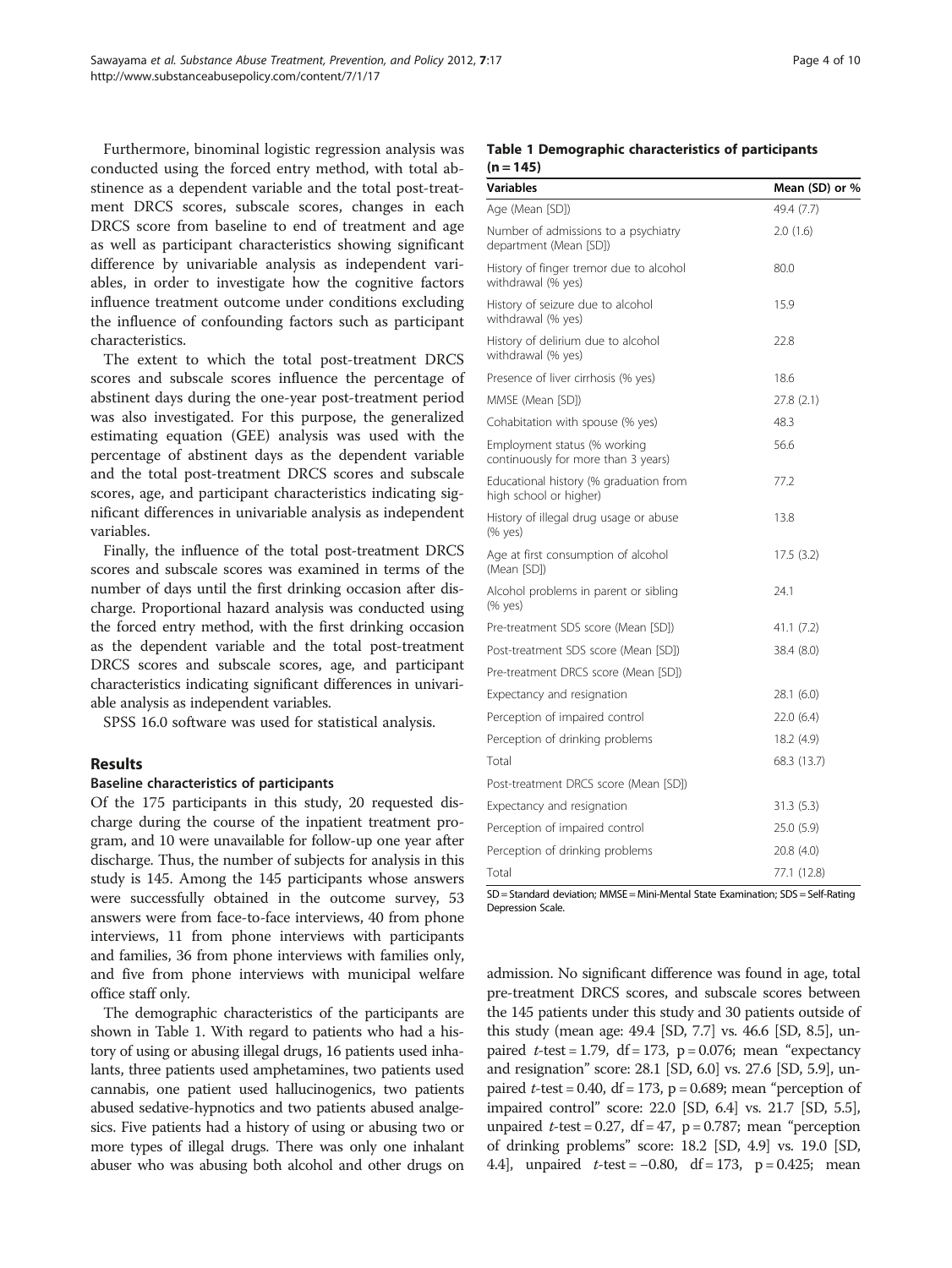Furthermore, binominal logistic regression analysis was conducted using the forced entry method, with total abstinence as a dependent variable and the total post-treatment DRCS scores, subscale scores, changes in each DRCS score from baseline to end of treatment and age as well as participant characteristics showing significant difference by univariable analysis as independent variables, in order to investigate how the cognitive factors influence treatment outcome under conditions excluding the influence of confounding factors such as participant characteristics.

The extent to which the total post-treatment DRCS scores and subscale scores influence the percentage of abstinent days during the one-year post-treatment period was also investigated. For this purpose, the generalized estimating equation (GEE) analysis was used with the percentage of abstinent days as the dependent variable and the total post-treatment DRCS scores and subscale scores, age, and participant characteristics indicating significant differences in univariable analysis as independent variables.

Finally, the influence of the total post-treatment DRCS scores and subscale scores was examined in terms of the number of days until the first drinking occasion after discharge. Proportional hazard analysis was conducted using the forced entry method, with the first drinking occasion as the dependent variable and the total post-treatment DRCS scores and subscale scores, age, and participant characteristics indicating significant differences in univariable analysis as independent variables.

SPSS 16.0 software was used for statistical analysis.

## Results

#### Baseline characteristics of participants

Of the 175 participants in this study, 20 requested discharge during the course of the inpatient treatment program, and 10 were unavailable for follow-up one year after discharge. Thus, the number of subjects for analysis in this study is 145. Among the 145 participants whose answers were successfully obtained in the outcome survey, 53 answers were from face-to-face interviews, 40 from phone interviews, 11 from phone interviews with participants and families, 36 from phone interviews with families only, and five from phone interviews with municipal welfare office staff only.

The demographic characteristics of the participants are shown in Table 1. With regard to patients who had a history of using or abusing illegal drugs, 16 patients used inhalants, three patients used amphetamines, two patients used cannabis, one patient used hallucinogenics, two patients abused sedative-hypnotics and two patients abused analgesics. Five patients had a history of using or abusing two or more types of illegal drugs. There was only one inhalant abuser who was abusing both alcohol and other drugs on

## Table 1 Demographic characteristics of participants  $(n = 145)$

| <b>Variables</b>                                                    | Mean (SD) or % |
|---------------------------------------------------------------------|----------------|
| Age (Mean [SD])                                                     | 49.4 (7.7)     |
| Number of admissions to a psychiatry<br>department (Mean [SD])      | 2.0(1.6)       |
| History of finger tremor due to alcohol<br>withdrawal (% yes)       | 80.0           |
| History of seizure due to alcohol<br>withdrawal (% yes)             | 15.9           |
| History of delirium due to alcohol<br>withdrawal (% yes)            | 22.8           |
| Presence of liver cirrhosis (% yes)                                 | 18.6           |
| MMSE (Mean [SD])                                                    | 27.8 (2.1)     |
| Cohabitation with spouse (% yes)                                    | 48.3           |
| Employment status (% working<br>continuously for more than 3 years) | 56.6           |
| Educational history (% graduation from<br>high school or higher)    | 77.2           |
| History of illegal drug usage or abuse<br>(% yes)                   | 13.8           |
| Age at first consumption of alcohol<br>(Mean [SD])                  | 17.5 (3.2)     |
| Alcohol problems in parent or sibling<br>(% yes)                    | 24.1           |
| Pre-treatment SDS score (Mean [SD])                                 | 41.1 (7.2)     |
| Post-treatment SDS score (Mean [SD])                                | 38.4 (8.0)     |
| Pre-treatment DRCS score (Mean [SD])                                |                |
| Expectancy and resignation                                          | 28.1 (6.0)     |
| Perception of impaired control                                      | 22.0 (6.4)     |
| Perception of drinking problems                                     | 18.2 (4.9)     |
| Total                                                               | 68.3 (13.7)    |
| Post-treatment DRCS score (Mean [SD])                               |                |
| Expectancy and resignation                                          | 31.3(5.3)      |
| Perception of impaired control                                      | 25.0 (5.9)     |
| Perception of drinking problems                                     | 20.8 (4.0)     |
| Total                                                               | 77.1 (12.8)    |

SD = Standard deviation; MMSE = Mini-Mental State Examination; SDS = Self-Rating Depression Scale.

admission. No significant difference was found in age, total pre-treatment DRCS scores, and subscale scores between the 145 patients under this study and 30 patients outside of this study (mean age: 49.4 [SD, 7.7] vs. 46.6 [SD, 8.5], unpaired *t*-test = 1.79, df = 173,  $p = 0.076$ ; mean "expectancy" and resignation" score: 28.1 [SD, 6.0] vs. 27.6 [SD, 5.9], unpaired *t*-test = 0.40,  $df = 173$ ,  $p = 0.689$ ; mean "perception of impaired control" score: 22.0 [SD, 6.4] vs. 21.7 [SD, 5.5], unpaired *t*-test = 0.27,  $df = 47$ ,  $p = 0.787$ ; mean "perception of drinking problems" score: 18.2 [SD, 4.9] vs. 19.0 [SD, 4.4], unpaired  $t$ -test = -0.80, df = 173, p = 0.425; mean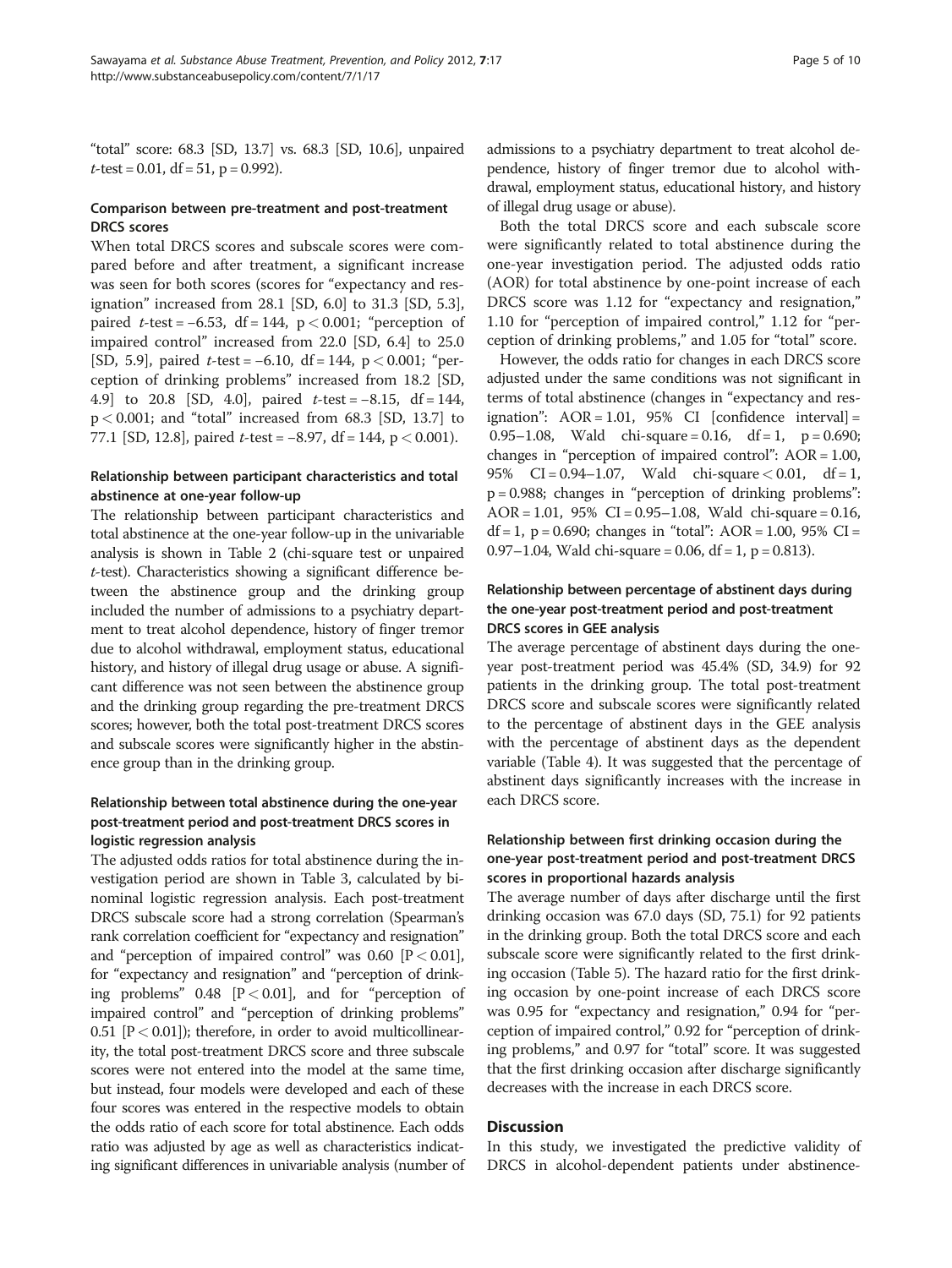"total" score: 68.3 [SD, 13.7] vs. 68.3 [SD, 10.6], unpaired  $t$ -test = 0.01, df = 51, p = 0.992).

## Comparison between pre-treatment and post-treatment DRCS scores

When total DRCS scores and subscale scores were compared before and after treatment, a significant increase was seen for both scores (scores for "expectancy and resignation" increased from 28.1 [SD, 6.0] to 31.3 [SD, 5.3], paired  $t$ -test = -6.53, df = 144,  $p < 0.001$ ; "perception of impaired control" increased from 22.0 [SD, 6.4] to 25.0 [SD, 5.9], paired  $t$ -test = -6.10, df = 144, p < 0.001; "perception of drinking problems" increased from 18.2 [SD, 4.9] to 20.8 [SD, 4.0], paired  $t$ -test = -8.15, df = 144,  $p < 0.001$ ; and "total" increased from 68.3 [SD, 13.7] to 77.1 [SD, 12.8], paired *t*-test = -8.97, df = 144, p < 0.001).

## Relationship between participant characteristics and total abstinence at one-year follow-up

The relationship between participant characteristics and total abstinence at the one-year follow-up in the univariable analysis is shown in Table [2](#page-5-0) (chi-square test or unpaired t-test). Characteristics showing a significant difference between the abstinence group and the drinking group included the number of admissions to a psychiatry department to treat alcohol dependence, history of finger tremor due to alcohol withdrawal, employment status, educational history, and history of illegal drug usage or abuse. A significant difference was not seen between the abstinence group and the drinking group regarding the pre-treatment DRCS scores; however, both the total post-treatment DRCS scores and subscale scores were significantly higher in the abstinence group than in the drinking group.

## Relationship between total abstinence during the one-year post-treatment period and post-treatment DRCS scores in logistic regression analysis

The adjusted odds ratios for total abstinence during the investigation period are shown in Table [3,](#page-6-0) calculated by binominal logistic regression analysis. Each post-treatment DRCS subscale score had a strong correlation (Spearman's rank correlation coefficient for "expectancy and resignation" and "perception of impaired control" was 0.60  $[P < 0.01]$ , for "expectancy and resignation" and "perception of drinking problems"  $0.48$  [P < 0.01], and for "perception of impaired control" and "perception of drinking problems" 0.51  $[P < 0.01]$ ); therefore, in order to avoid multicollinearity, the total post-treatment DRCS score and three subscale scores were not entered into the model at the same time, but instead, four models were developed and each of these four scores was entered in the respective models to obtain the odds ratio of each score for total abstinence. Each odds ratio was adjusted by age as well as characteristics indicating significant differences in univariable analysis (number of

admissions to a psychiatry department to treat alcohol dependence, history of finger tremor due to alcohol withdrawal, employment status, educational history, and history of illegal drug usage or abuse).

Both the total DRCS score and each subscale score were significantly related to total abstinence during the one-year investigation period. The adjusted odds ratio (AOR) for total abstinence by one-point increase of each DRCS score was 1.12 for "expectancy and resignation," 1.10 for "perception of impaired control," 1.12 for "perception of drinking problems," and 1.05 for "total" score.

However, the odds ratio for changes in each DRCS score adjusted under the same conditions was not significant in terms of total abstinence (changes in "expectancy and resignation":  $AOR = 1.01$ , 95% CI [confidence interval] = 0.95–1.08, Wald chi-square = 0.16,  $df = 1$ ,  $p = 0.690$ ; changes in "perception of impaired control": AOR = 1.00, 95% CI =  $0.94-1.07$ , Wald chi-square < 0.01, df = 1, p = 0.988; changes in "perception of drinking problems": AOR = 1.01, 95% CI = 0.95–1.08, Wald chi-square = 0.16, df = 1, p = 0.690; changes in "total":  $AOR = 1.00$ , 95% CI = 0.97–1.04, Wald chi-square = 0.06,  $df = 1$ ,  $p = 0.813$ ).

## Relationship between percentage of abstinent days during the one-year post-treatment period and post-treatment DRCS scores in GEE analysis

The average percentage of abstinent days during the oneyear post-treatment period was 45.4% (SD, 34.9) for 92 patients in the drinking group. The total post-treatment DRCS score and subscale scores were significantly related to the percentage of abstinent days in the GEE analysis with the percentage of abstinent days as the dependent variable (Table [4\)](#page-6-0). It was suggested that the percentage of abstinent days significantly increases with the increase in each DRCS score.

## Relationship between first drinking occasion during the one-year post-treatment period and post-treatment DRCS scores in proportional hazards analysis

The average number of days after discharge until the first drinking occasion was 67.0 days (SD, 75.1) for 92 patients in the drinking group. Both the total DRCS score and each subscale score were significantly related to the first drinking occasion (Table [5](#page-6-0)). The hazard ratio for the first drinking occasion by one-point increase of each DRCS score was 0.95 for "expectancy and resignation," 0.94 for "perception of impaired control," 0.92 for "perception of drinking problems," and 0.97 for "total" score. It was suggested that the first drinking occasion after discharge significantly decreases with the increase in each DRCS score.

## **Discussion**

In this study, we investigated the predictive validity of DRCS in alcohol-dependent patients under abstinence-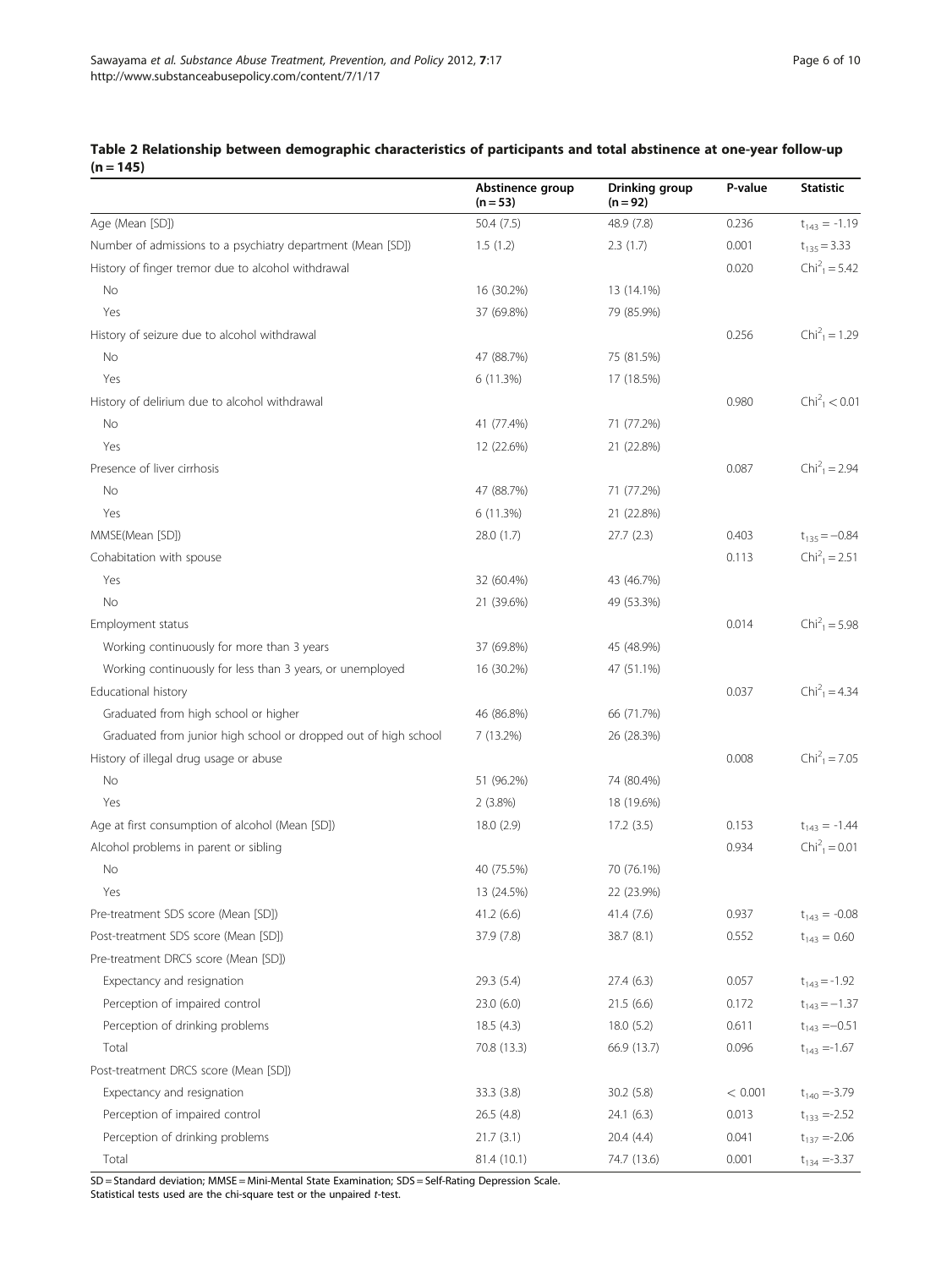## <span id="page-5-0"></span>Table 2 Relationship between demographic characteristics of participants and total abstinence at one-year follow-up  $(n = 145)$

|                                                                 | Abstinence group<br>$(n = 53)$ | Drinking group<br>(n = 92) | P-value | <b>Statistic</b>                     |
|-----------------------------------------------------------------|--------------------------------|----------------------------|---------|--------------------------------------|
| Age (Mean [SD])                                                 | 50.4(7.5)                      | 48.9 (7.8)                 | 0.236   | $t_{143} = -1.19$                    |
| Number of admissions to a psychiatry department (Mean [SD])     | 1.5(1.2)                       | 2.3(1.7)                   | 0.001   | $t_{135} = 3.33$                     |
| History of finger tremor due to alcohol withdrawal              |                                |                            | 0.020   | $Chi21 = 5.42$                       |
| No                                                              | 16 (30.2%)                     | 13 (14.1%)                 |         |                                      |
| Yes                                                             | 37 (69.8%)                     | 79 (85.9%)                 |         |                                      |
| History of seizure due to alcohol withdrawal                    |                                |                            | 0.256   | $Chi21 = 1.29$                       |
| No                                                              | 47 (88.7%)                     | 75 (81.5%)                 |         |                                      |
| Yes                                                             | 6 (11.3%)                      | 17 (18.5%)                 |         |                                      |
| History of delirium due to alcohol withdrawal                   |                                |                            | 0.980   | Chi <sup>2</sup> <sub>1</sub> < 0.01 |
| No                                                              | 41 (77.4%)                     | 71 (77.2%)                 |         |                                      |
| Yes                                                             | 12 (22.6%)                     | 21 (22.8%)                 |         |                                      |
| Presence of liver cirrhosis                                     |                                |                            | 0.087   | $Chi21 = 2.94$                       |
| No                                                              | 47 (88.7%)                     | 71 (77.2%)                 |         |                                      |
| Yes                                                             | 6 (11.3%)                      | 21 (22.8%)                 |         |                                      |
| MMSE(Mean [SD])                                                 | 28.0 (1.7)                     | 27.7(2.3)                  | 0.403   | $t_{135} = -0.84$                    |
| Cohabitation with spouse                                        |                                |                            | 0.113   | $Chi_1^2 = 2.51$                     |
| Yes                                                             | 32 (60.4%)                     | 43 (46.7%)                 |         |                                      |
| No                                                              | 21 (39.6%)                     | 49 (53.3%)                 |         |                                      |
| Employment status                                               |                                |                            | 0.014   | $Chi21 = 5.98$                       |
| Working continuously for more than 3 years                      | 37 (69.8%)                     | 45 (48.9%)                 |         |                                      |
| Working continuously for less than 3 years, or unemployed       | 16 (30.2%)                     | 47 (51.1%)                 |         |                                      |
| Educational history                                             |                                |                            | 0.037   | $Chi21 = 4.34$                       |
| Graduated from high school or higher                            | 46 (86.8%)                     | 66 (71.7%)                 |         |                                      |
| Graduated from junior high school or dropped out of high school | 7 (13.2%)                      | 26 (28.3%)                 |         |                                      |
| History of illegal drug usage or abuse                          |                                |                            | 0.008   | $Chi21 = 7.05$                       |
| No                                                              | 51 (96.2%)                     | 74 (80.4%)                 |         |                                      |
| Yes                                                             | 2(3.8%)                        | 18 (19.6%)                 |         |                                      |
| Age at first consumption of alcohol (Mean [SD])                 | 18.0(2.9)                      | 17.2(3.5)                  | 0.153   | $t_{143} = -1.44$                    |
| Alcohol problems in parent or sibling                           |                                |                            | 0.934   | $Chi21 = 0.01$                       |
| No                                                              | 40 (75.5%)                     | 70 (76.1%)                 |         |                                      |
| Yes                                                             | 13 (24.5%)                     | 22 (23.9%)                 |         |                                      |
| Pre-treatment SDS score (Mean [SD])                             | 41.2(6.6)                      | 41.4(7.6)                  | 0.937   | $t_{143} = -0.08$                    |
| Post-treatment SDS score (Mean [SD])                            | 37.9 (7.8)                     | 38.7 (8.1)                 | 0.552   | $t_{143} = 0.60$                     |
| Pre-treatment DRCS score (Mean [SD])                            |                                |                            |         |                                      |
| Expectancy and resignation                                      | 29.3 (5.4)                     | 27.4(6.3)                  | 0.057   | $t_{143} = -1.92$                    |
| Perception of impaired control                                  | 23.0(6.0)                      | 21.5(6.6)                  | 0.172   | $t_{143} = -1.37$                    |
| Perception of drinking problems                                 | 18.5 (4.3)                     | 18.0(5.2)                  | 0.611   | $t_{143} = -0.51$                    |
| Total                                                           | 70.8 (13.3)                    | 66.9 (13.7)                | 0.096   | $t_{143} = -1.67$                    |
| Post-treatment DRCS score (Mean [SD])                           |                                |                            |         |                                      |
| Expectancy and resignation                                      | 33.3 (3.8)                     | 30.2(5.8)                  | < 0.001 | $t_{140} = -3.79$                    |
| Perception of impaired control                                  | 26.5(4.8)                      | 24.1(6.3)                  | 0.013   | $t_{133} = -2.52$                    |
| Perception of drinking problems                                 | 21.7(3.1)                      | 20.4(4.4)                  | 0.041   | $t_{137} = -2.06$                    |
| Total                                                           | 81.4 (10.1)                    | 74.7 (13.6)                | 0.001   | $t_{134} = -3.37$                    |

SD = Standard deviation; MMSE = Mini-Mental State Examination; SDS = Self-Rating Depression Scale. Statistical tests used are the chi-square test or the unpaired t-test.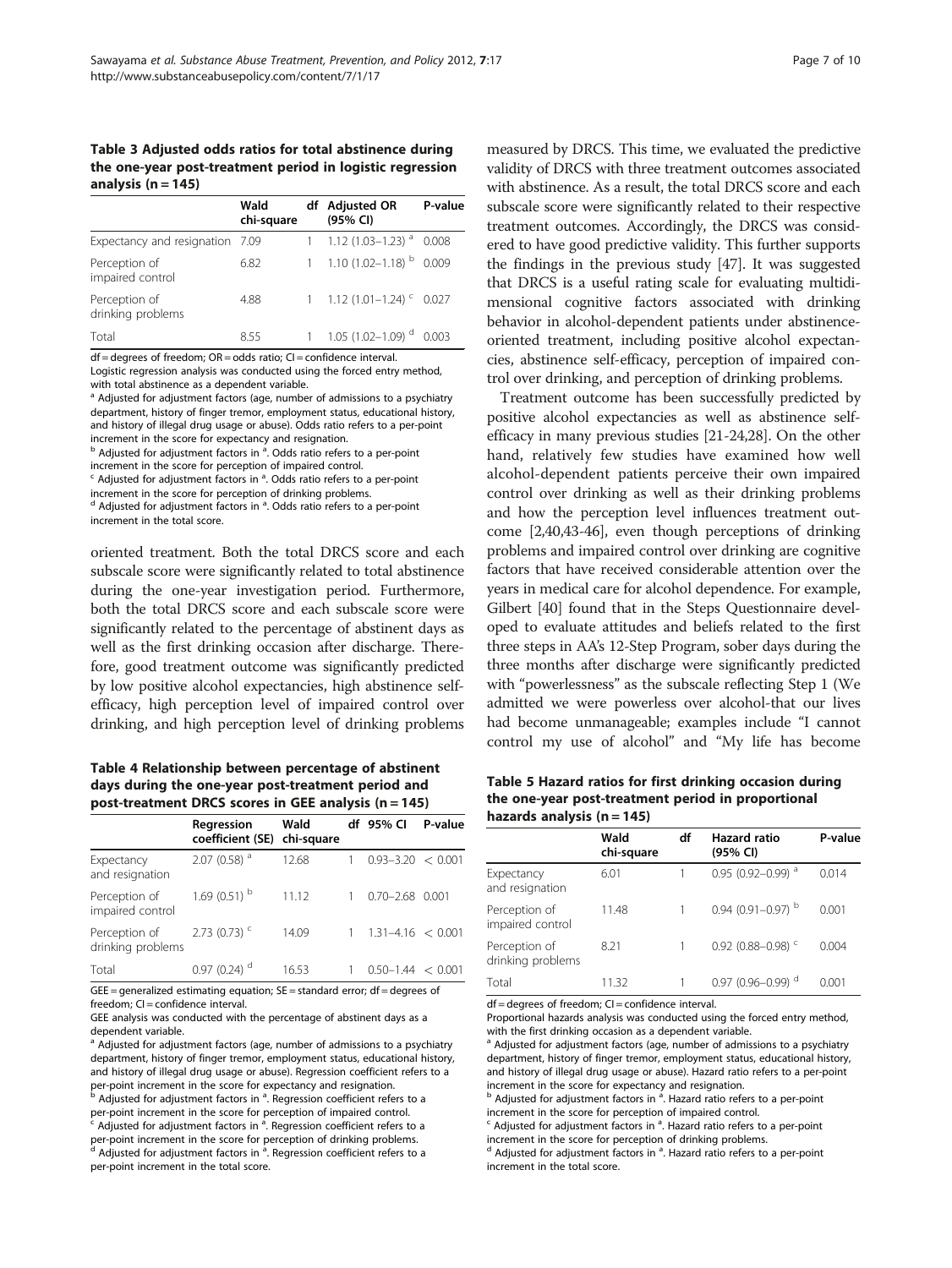<span id="page-6-0"></span>Table 3 Adjusted odds ratios for total abstinence during the one-year post-treatment period in logistic regression analysis  $(n = 145)$ 

|                                    | Wald<br>chi-square | df Adjusted OR<br>(95% CI)            | P-value |
|------------------------------------|--------------------|---------------------------------------|---------|
| Expectancy and resignation 7.09    |                    | 1.12 $(1.03-1.23)$ <sup>a</sup> 0.008 |         |
| Perception of<br>impaired control  | 6.82               | 1 1.10 $(1.02 - 1.18)^{b}$ 0.009      |         |
| Perception of<br>drinking problems | 4.88               | 1 1.12 $(1.01-1.24)$ $\degree$ 0.027  |         |
| Total                              | 855                | $1.05(1.02 - 1.09)^{d}$ 0.003         |         |

 $df = degrees of freedom; OR = odds ratio; Cl = confidence interval.$ 

Logistic regression analysis was conducted using the forced entry method, with total abstinence as a dependent variable.

<sup>a</sup> Adjusted for adjustment factors (age, number of admissions to a psychiatry department, history of finger tremor, employment status, educational history, and history of illegal drug usage or abuse). Odds ratio refers to a per-point increment in the score for expectancy and resignation.

<sup>b</sup> Adjusted for adjustment factors in <sup>a</sup>. Odds ratio refers to a per-point increment in the score for perception of impaired control.

<sup>c</sup> Adjusted for adjustment factors in <sup>a</sup>. Odds ratio refers to a per-point

increment in the score for perception of drinking problems.

<sup>d</sup> Adjusted for adjustment factors in <sup>a</sup>. Odds ratio refers to a per-point increment in the total score.

oriented treatment. Both the total DRCS score and each subscale score were significantly related to total abstinence during the one-year investigation period. Furthermore, both the total DRCS score and each subscale score were significantly related to the percentage of abstinent days as well as the first drinking occasion after discharge. Therefore, good treatment outcome was significantly predicted by low positive alcohol expectancies, high abstinence selfefficacy, high perception level of impaired control over drinking, and high perception level of drinking problems

Table 4 Relationship between percentage of abstinent days during the one-year post-treatment period and post-treatment DRCS scores in GEE analysis (n = 145)

|                                    | Regression<br>coefficient (SE) chi-square | Wald  | df 95% CI             | P-value |
|------------------------------------|-------------------------------------------|-------|-----------------------|---------|
| Expectancy<br>and resignation      | $2.07(0.58)^{a}$                          | 12.68 | $0.93 - 3.20 < 0.001$ |         |
| Perception of<br>impaired control  | 1.69 $(0.51)$ <sup>b</sup>                | 11.12 | $0.70 - 2.68$         | 0.001   |
| Perception of<br>drinking problems | 2.73 $(0.73)$ <sup>c</sup>                | 14.09 | $1.31 - 4.16 < 0.001$ |         |
| Total                              | $0.97(0.24)^d$                            | 16.53 | $0.50 - 1.44 < 0.001$ |         |

GEE = generalized estimating equation; SE = standard error; df = degrees of freedom; CI = confidence interval.

GEE analysis was conducted with the percentage of abstinent days as a dependent variable.

<sup>a</sup> Adjusted for adjustment factors (age, number of admissions to a psychiatry department, history of finger tremor, employment status, educational history, and history of illegal drug usage or abuse). Regression coefficient refers to a per-point increment in the score for expectancy and resignation.

<sup>b</sup> Adjusted for adjustment factors in <sup>a</sup>. Regression coefficient refers to a per-point increment in the score for perception of impaired control.

 $\epsilon$  Adjusted for adjustment factors in  $\frac{a}{n}$ . Regression coefficient refers to a per-point increment in the score for perception of drinking problems.<br><sup>d</sup> Adjusted for adjustment factors in <sup>a</sup>. Regression coefficient refers to a

per-point increment in the total score.

measured by DRCS. This time, we evaluated the predictive validity of DRCS with three treatment outcomes associated with abstinence. As a result, the total DRCS score and each subscale score were significantly related to their respective treatment outcomes. Accordingly, the DRCS was considered to have good predictive validity. This further supports the findings in the previous study [\[47\]](#page-8-0). It was suggested that DRCS is a useful rating scale for evaluating multidimensional cognitive factors associated with drinking behavior in alcohol-dependent patients under abstinenceoriented treatment, including positive alcohol expectancies, abstinence self-efficacy, perception of impaired control over drinking, and perception of drinking problems.

Treatment outcome has been successfully predicted by positive alcohol expectancies as well as abstinence selfefficacy in many previous studies [\[21-24,28\]](#page-8-0). On the other hand, relatively few studies have examined how well alcohol-dependent patients perceive their own impaired control over drinking as well as their drinking problems and how the perception level influences treatment outcome [2,40,43-46], even though perceptions of drinking problems and impaired control over drinking are cognitive factors that have received considerable attention over the years in medical care for alcohol dependence. For example, Gilbert [\[40](#page-8-0)] found that in the Steps Questionnaire developed to evaluate attitudes and beliefs related to the first three steps in AA's 12-Step Program, sober days during the three months after discharge were significantly predicted with "powerlessness" as the subscale reflecting Step 1 (We admitted we were powerless over alcohol-that our lives had become unmanageable; examples include "I cannot control my use of alcohol" and "My life has become

Table 5 Hazard ratios for first drinking occasion during the one-year post-treatment period in proportional hazards analysis  $(n = 145)$ 

|                                    | Wald<br>chi-square | df | Hazard ratio<br>(95% CI)         | P-value |
|------------------------------------|--------------------|----|----------------------------------|---------|
| Expectancy<br>and resignation      | 6.01               |    | $0.95(0.92 - 0.99)^{a}$          | 0.014   |
| Perception of<br>impaired control  | 11.48              |    | $0.94$ (0.91-0.97) <sup>b</sup>  | 0.001   |
| Perception of<br>drinking problems | 8.21               |    | 0.92 (0.88-0.98) <sup>c</sup>    | 0.004   |
| Total                              | 11 32              |    | $0.97(0.96 - 0.99)$ <sup>d</sup> | 0.001   |

df = degrees of freedom; CI = confidence interval.

Proportional hazards analysis was conducted using the forced entry method, with the first drinking occasion as a dependent variable.

<sup>a</sup> Adjusted for adjustment factors (age, number of admissions to a psychiatry department, history of finger tremor, employment status, educational history, and history of illegal drug usage or abuse). Hazard ratio refers to a per-point increment in the score for expectancy and resignation.

<sup>b</sup> Adjusted for adjustment factors in <sup>a</sup>. Hazard ratio refers to a per-point increment in the score for perception of impaired control.

 $c$  Adjusted for adjustment factors in  $a$ . Hazard ratio refers to a per-point increment in the score for perception of drinking problems.

<sup>d</sup> Adjusted for adjustment factors in <sup>a</sup>. Hazard ratio refers to a per-point increment in the total score.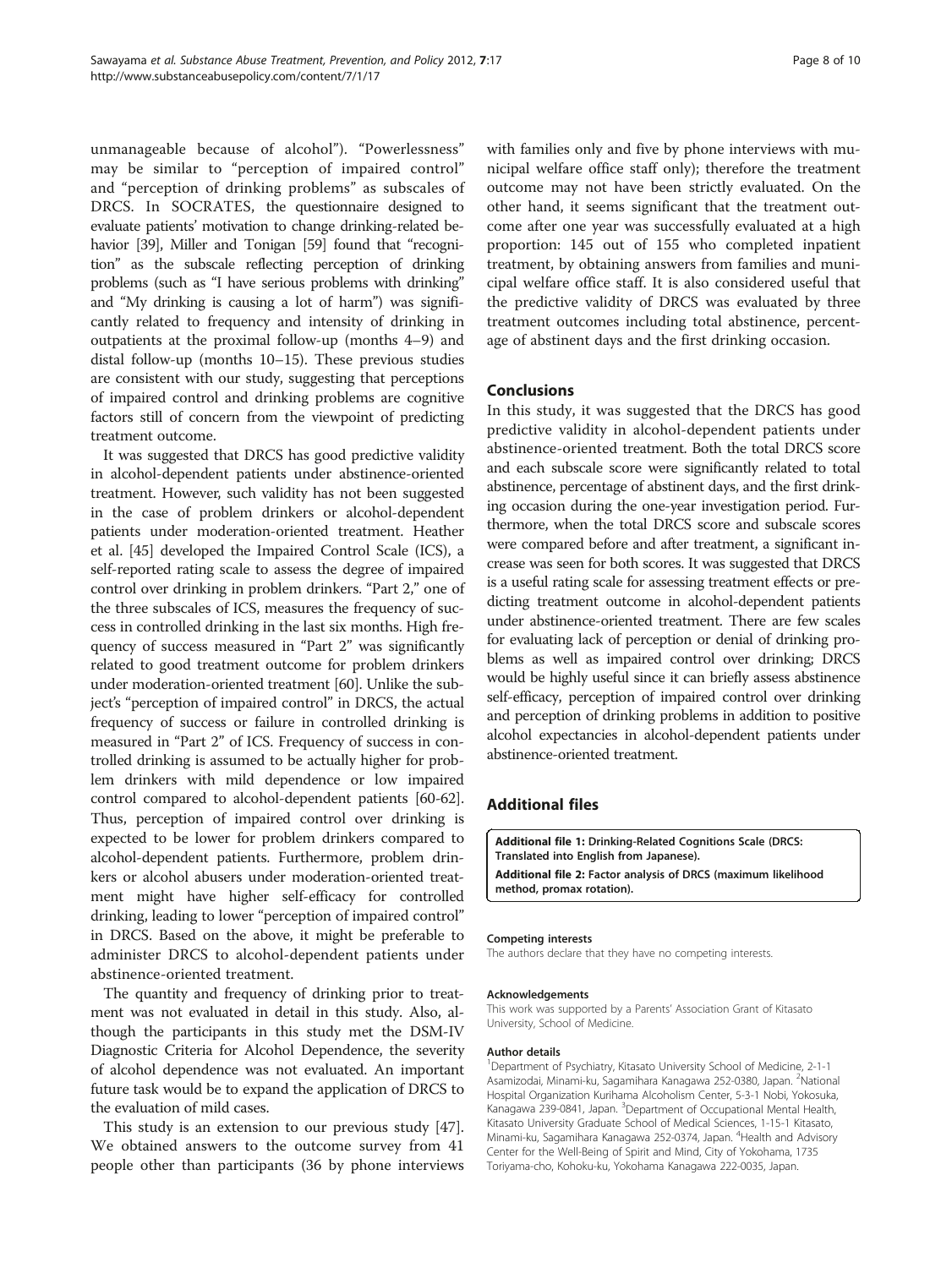<span id="page-7-0"></span>unmanageable because of alcohol"). "Powerlessness" may be similar to "perception of impaired control" and "perception of drinking problems" as subscales of DRCS. In SOCRATES, the questionnaire designed to evaluate patients' motivation to change drinking-related be-havior [\[39](#page-8-0)], Miller and Tonigan [\[59](#page-9-0)] found that "recognition" as the subscale reflecting perception of drinking problems (such as "I have serious problems with drinking" and "My drinking is causing a lot of harm") was significantly related to frequency and intensity of drinking in outpatients at the proximal follow-up (months 4–9) and distal follow-up (months 10–15). These previous studies are consistent with our study, suggesting that perceptions of impaired control and drinking problems are cognitive factors still of concern from the viewpoint of predicting treatment outcome.

It was suggested that DRCS has good predictive validity in alcohol-dependent patients under abstinence-oriented treatment. However, such validity has not been suggested in the case of problem drinkers or alcohol-dependent patients under moderation-oriented treatment. Heather et al. [[45](#page-8-0)] developed the Impaired Control Scale (ICS), a self-reported rating scale to assess the degree of impaired control over drinking in problem drinkers. "Part 2," one of the three subscales of ICS, measures the frequency of success in controlled drinking in the last six months. High frequency of success measured in "Part 2" was significantly related to good treatment outcome for problem drinkers under moderation-oriented treatment [\[60\]](#page-9-0). Unlike the subject's "perception of impaired control" in DRCS, the actual frequency of success or failure in controlled drinking is measured in "Part 2" of ICS. Frequency of success in controlled drinking is assumed to be actually higher for problem drinkers with mild dependence or low impaired control compared to alcohol-dependent patients [[60](#page-9-0)-[62](#page-9-0)]. Thus, perception of impaired control over drinking is expected to be lower for problem drinkers compared to alcohol-dependent patients. Furthermore, problem drinkers or alcohol abusers under moderation-oriented treatment might have higher self-efficacy for controlled drinking, leading to lower "perception of impaired control" in DRCS. Based on the above, it might be preferable to administer DRCS to alcohol-dependent patients under abstinence-oriented treatment.

The quantity and frequency of drinking prior to treatment was not evaluated in detail in this study. Also, although the participants in this study met the DSM-IV Diagnostic Criteria for Alcohol Dependence, the severity of alcohol dependence was not evaluated. An important future task would be to expand the application of DRCS to the evaluation of mild cases.

This study is an extension to our previous study [\[47](#page-8-0)]. We obtained answers to the outcome survey from 41 people other than participants (36 by phone interviews with families only and five by phone interviews with municipal welfare office staff only); therefore the treatment outcome may not have been strictly evaluated. On the other hand, it seems significant that the treatment outcome after one year was successfully evaluated at a high proportion: 145 out of 155 who completed inpatient treatment, by obtaining answers from families and municipal welfare office staff. It is also considered useful that the predictive validity of DRCS was evaluated by three treatment outcomes including total abstinence, percentage of abstinent days and the first drinking occasion.

## Conclusions

In this study, it was suggested that the DRCS has good predictive validity in alcohol-dependent patients under abstinence-oriented treatment. Both the total DRCS score and each subscale score were significantly related to total abstinence, percentage of abstinent days, and the first drinking occasion during the one-year investigation period. Furthermore, when the total DRCS score and subscale scores were compared before and after treatment, a significant increase was seen for both scores. It was suggested that DRCS is a useful rating scale for assessing treatment effects or predicting treatment outcome in alcohol-dependent patients under abstinence-oriented treatment. There are few scales for evaluating lack of perception or denial of drinking problems as well as impaired control over drinking; DRCS would be highly useful since it can briefly assess abstinence self-efficacy, perception of impaired control over drinking and perception of drinking problems in addition to positive alcohol expectancies in alcohol-dependent patients under abstinence-oriented treatment.

## Additional files

[Additional file 1](http://www.biomedcentral.com/content/supplementary/1747-597X-7-17-S1.doc): Drinking-Related Cognitions Scale (DRCS: Translated into English from Japanese).

[Additional file 2](http://www.biomedcentral.com/content/supplementary/1747-597X-7-17-S2.doc): Factor analysis of DRCS (maximum likelihood method, promax rotation).

#### Competing interests

The authors declare that they have no competing interests.

#### Acknowledgements

This work was supported by a Parents' Association Grant of Kitasato University, School of Medicine.

#### Author details

<sup>1</sup> Department of Psychiatry, Kitasato University School of Medicine, 2-1-1 Asamizodai, Minami-ku, Sagamihara Kanagawa 252-0380, Japan. <sup>2</sup>National Hospital Organization Kurihama Alcoholism Center, 5-3-1 Nobi, Yokosuka, Kanagawa 239-0841, Japan. <sup>3</sup>Department of Occupational Mental Health Kitasato University Graduate School of Medical Sciences, 1-15-1 Kitasato, Minami-ku, Sagamihara Kanagawa 252-0374, Japan. <sup>4</sup>Health and Advisory Center for the Well-Being of Spirit and Mind, City of Yokohama, 1735 Toriyama-cho, Kohoku-ku, Yokohama Kanagawa 222-0035, Japan.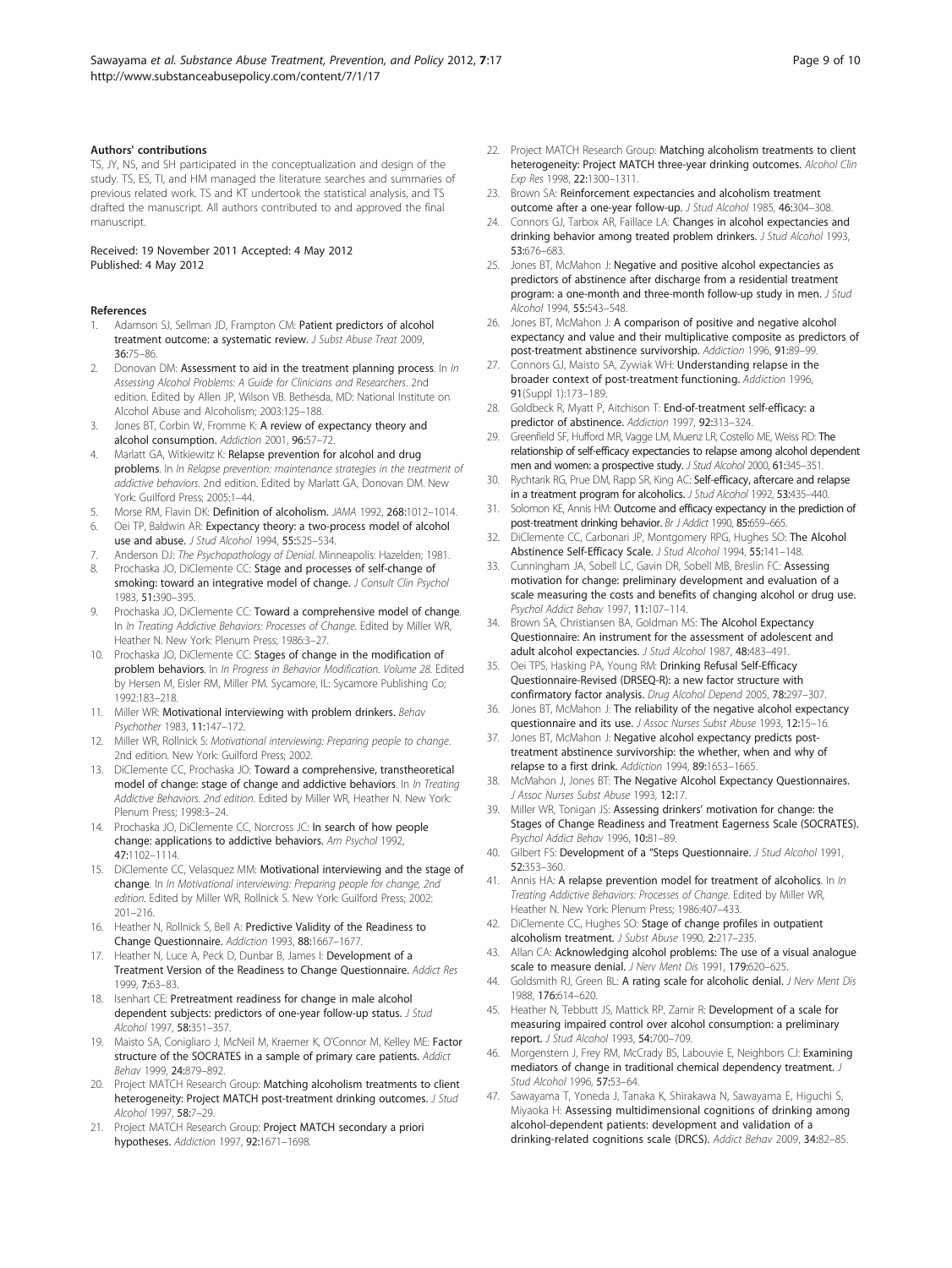#### <span id="page-8-0"></span>Authors' contributions

TS, JY, NS, and SH participated in the conceptualization and design of the study. TS, ES, TI, and HM managed the literature searches and summaries of previous related work. TS and KT undertook the statistical analysis, and TS drafted the manuscript. All authors contributed to and approved the final manuscript.

#### Received: 19 November 2011 Accepted: 4 May 2012 Published: 4 May 2012

#### References

- 1. Adamson SJ, Sellman JD, Frampton CM: Patient predictors of alcohol treatment outcome: a systematic review. J Subst Abuse Treat 2009, 36:75–86.
- Donovan DM: Assessment to aid in the treatment planning process. In In Assessing Alcohol Problems: A Guide for Clinicians and Researchers. 2nd edition. Edited by Allen JP, Wilson VB. Bethesda, MD: National Institute on Alcohol Abuse and Alcoholism; 2003:125–188.
- 3. Jones BT, Corbin W, Fromme K: A review of expectancy theory and alcohol consumption. Addiction 2001, 96:57–72.
- 4. Marlatt GA, Witkiewitz K: Relapse prevention for alcohol and drug problems. In In Relapse prevention: maintenance strategies in the treatment of addictive behaviors. 2nd edition. Edited by Marlatt GA, Donovan DM. New York: Guilford Press; 2005:1–44.
- 5. Morse RM, Flavin DK: Definition of alcoholism. JAMA 1992, 268:1012-1014.
- 6. Oei TP, Baldwin AR: Expectancy theory: a two-process model of alcohol use and abuse. J Stud Alcohol 1994, 55:525–534.
- 7. Anderson DJ: The Psychopathology of Denial. Minneapolis: Hazelden; 1981.
- 8. Prochaska JO, DiClemente CC: Stage and processes of self-change of smoking: toward an integrative model of change. J Consult Clin Psychol 1983, 51:390–395.
- Prochaska JO, DiClemente CC: Toward a comprehensive model of change. In In Treating Addictive Behaviors: Processes of Change. Edited by Miller WR, Heather N. New York: Plenum Press; 1986:3–27.
- 10. Prochaska JO, DiClemente CC: Stages of change in the modification of problem behaviors. In In Progress in Behavior Modification. Volume 28. Edited by Hersen M, Eisler RM, Miller PM. Sycamore, IL: Sycamore Publishing Co; 1992:183–218.
- 11. Miller WR: Motivational interviewing with problem drinkers. Behav Psychother 1983, 11:147–172.
- 12. Miller WR, Rollnick S: Motivational interviewing: Preparing people to change. 2nd edition. New York: Guilford Press; 2002.
- 13. DiClemente CC, Prochaska JO: Toward a comprehensive, transtheoretical model of change: stage of change and addictive behaviors. In In Treating Addictive Behaviors. 2nd edition. Edited by Miller WR, Heather N. New York: Plenum Press; 1998:3–24.
- 14. Prochaska JO, DiClemente CC, Norcross JC: In search of how people change: applications to addictive behaviors. Am Psychol 1992, 47:1102–1114.
- 15. DiClemente CC, Velasquez MM: Motivational interviewing and the stage of change. In In Motivational interviewing: Preparing people for change, 2nd edition. Edited by Miller WR, Rollnick S. New York: Guilford Press; 2002: 201–216.
- 16. Heather N, Rollnick S, Bell A: Predictive Validity of the Readiness to Change Questionnaire. Addiction 1993, 88:1667–1677.
- 17. Heather N, Luce A, Peck D, Dunbar B, James I: Development of a Treatment Version of the Readiness to Change Questionnaire. Addict Res 1999, 7:63–83.
- 18. Isenhart CE: Pretreatment readiness for change in male alcohol dependent subjects: predictors of one-year follow-up status. J Stud Alcohol 1997, 58:351–357.
- 19. Maisto SA, Conigliaro J, McNeil M, Kraemer K, O'Connor M, Kelley ME: Factor structure of the SOCRATES in a sample of primary care patients. Addict Behav 1999, 24:879–892.
- 20. Project MATCH Research Group: Matching alcoholism treatments to client heterogeneity: Project MATCH post-treatment drinking outcomes. J Stud Alcohol 1997, 58:7–29.
- 21. Project MATCH Research Group: Project MATCH secondary a priori hypotheses. Addiction 1997, 92:1671–1698.
- 22. Project MATCH Research Group: Matching alcoholism treatments to client heterogeneity: Project MATCH three-year drinking outcomes. Alcohol Clin Exp Res 1998, 22:1300–1311.
- 23. Brown SA: Reinforcement expectancies and alcoholism treatment outcome after a one-year follow-up. J Stud Alcohol 1985, 46:304–308.
- 24. Connors GJ, Tarbox AR, Faillace LA: Changes in alcohol expectancies and drinking behavior among treated problem drinkers. J Stud Alcohol 1993, 53:676–683.
- 25. Jones BT, McMahon J: Negative and positive alcohol expectancies as predictors of abstinence after discharge from a residential treatment program: a one-month and three-month follow-up study in men. *J Stud* Alcohol 1994, 55:543–548.
- 26. Jones BT, McMahon J: A comparison of positive and negative alcohol expectancy and value and their multiplicative composite as predictors of post-treatment abstinence survivorship. Addiction 1996, 91:89–99.
- 27. Connors GJ, Maisto SA, Zywiak WH: Understanding relapse in the broader context of post-treatment functioning. Addiction 1996, 91(Suppl 1):173–189.
- 28. Goldbeck R, Myatt P, Aitchison T: End-of-treatment self-efficacy: a predictor of abstinence. Addiction 1997, 92:313–324.
- 29. Greenfield SF, Hufford MR, Vagge LM, Muenz LR, Costello ME, Weiss RD: The relationship of self-efficacy expectancies to relapse among alcohol dependent men and women: a prospective study. J Stud Alcohol 2000, 61:345-351.
- 30. Rychtarik RG, Prue DM, Rapp SR, King AC: Self-efficacy, aftercare and relapse in a treatment program for alcoholics. J Stud Alcohol 1992, 53:435–440.
- 31. Solomon KE, Annis HM: Outcome and efficacy expectancy in the prediction of post-treatment drinking behavior. Br J Addict 1990, 85:659–665.
- 32. DiClemente CC, Carbonari JP, Montgomery RPG, Hughes SO: The Alcohol Abstinence Self-Efficacy Scale. J Stud Alcohol 1994, 55:141–148.
- 33. Cunningham JA, Sobell LC, Gavin DR, Sobell MB, Breslin FC: Assessing motivation for change: preliminary development and evaluation of a scale measuring the costs and benefits of changing alcohol or drug use. Psychol Addict Behav 1997, 11:107–114.
- 34. Brown SA, Christiansen BA, Goldman MS: The Alcohol Expectancy Questionnaire: An instrument for the assessment of adolescent and adult alcohol expectancies. J Stud Alcohol 1987, 48:483-491.
- 35. Oei TPS, Hasking PA, Young RM: Drinking Refusal Self-Efficacy Questionnaire-Revised (DRSEQ-R): a new factor structure with confirmatory factor analysis. Drug Alcohol Depend 2005, 78:297–307.
- 36. Jones BT, McMahon J: The reliability of the negative alcohol expectancy questionnaire and its use. J Assoc Nurses Subst Abuse 1993, 12:15–16.
- 37. Jones BT, McMahon J: Negative alcohol expectancy predicts posttreatment abstinence survivorship: the whether, when and why of relapse to a first drink. Addiction 1994, 89:1653–1665.
- 38. McMahon J, Jones BT: The Negative Alcohol Expectancy Questionnaires. J Assoc Nurses Subst Abuse 1993, 12:17.
- 39. Miller WR, Tonigan JS: Assessing drinkers' motivation for change: the Stages of Change Readiness and Treatment Eagerness Scale (SOCRATES). Psychol Addict Behav 1996, 10:81–89.
- 40. Gilbert FS: Development of a "Steps Questionnaire. J Stud Alcohol 1991, 52:353–360.
- 41. Annis HA: A relapse prevention model for treatment of alcoholics. In In Treating Addictive Behaviors: Processes of Change. Edited by Miller WR, Heather N. New York: Plenum Press; 1986:407–433.
- 42. DiClemente CC, Hughes SO: Stage of change profiles in outpatient alcoholism treatment. J Subst Abuse 1990, 2:217–235.
- 43. Allan CA: Acknowledging alcohol problems: The use of a visual analogue scale to measure denial. J Nerv Ment Dis 1991, 179:620-625.
- 44. Goldsmith RJ, Green BL: A rating scale for alcoholic denial. J Nerv Ment Dis 1988, 176:614–620.
- 45. Heather N, Tebbutt JS, Mattick RP, Zamir R: Development of a scale for measuring impaired control over alcohol consumption: a preliminary report. J Stud Alcohol 1993, 54:700–709.
- 46. Morgenstern J, Frey RM, McCrady BS, Labouvie E, Neighbors CJ: Examining mediators of change in traditional chemical dependency treatment. J Stud Alcohol 1996, 57:53–64.
- 47. Sawayama T, Yoneda J, Tanaka K, Shirakawa N, Sawayama E, Higuchi S, Miyaoka H: Assessing multidimensional cognitions of drinking among alcohol-dependent patients: development and validation of a drinking-related cognitions scale (DRCS). Addict Behav 2009, 34:82–85.